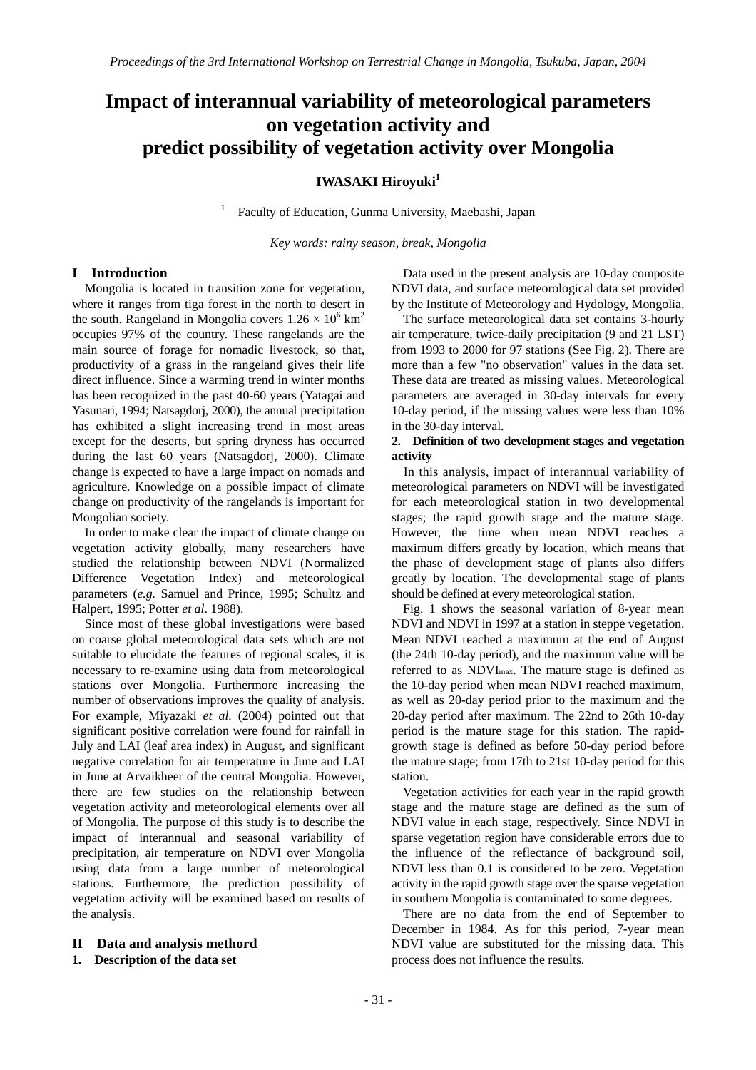# **Impact of interannual variability of meteorological parameters on vegetation activity and predict possibility of vegetation activity over Mongolia**

## **IWASAKI Hiroyuki**<sup>1</sup>

Faculty of Education, Gunma University, Maebashi, Japan

*Key words: rainy season, break, Mongolia* 

## **I Introduction**

Mongolia is located in transition zone for vegetation, where it ranges from tiga forest in the north to desert in the south. Rangeland in Mongolia covers  $1.26 \times 10^6$  km<sup>2</sup> occupies 97% of the country. These rangelands are the main source of forage for nomadic livestock, so that, productivity of a grass in the rangeland gives their life direct influence. Since a warming trend in winter months has been recognized in the past 40-60 years (Yatagai and Yasunari, 1994; Natsagdorj, 2000), the annual precipitation has exhibited a slight increasing trend in most areas except for the deserts, but spring dryness has occurred during the last 60 years (Natsagdorj, 2000). Climate change is expected to have a large impact on nomads and agriculture. Knowledge on a possible impact of climate change on productivity of the rangelands is important for Mongolian society.

1

In order to make clear the impact of climate change on vegetation activity globally, many researchers have studied the relationship between NDVI (Normalized Difference Vegetation Index) and meteorological parameters (*e.g.* Samuel and Prince, 1995; Schultz and Halpert, 1995; Potter *et al*. 1988).

Since most of these global investigations were based on coarse global meteorological data sets which are not suitable to elucidate the features of regional scales, it is necessary to re-examine using data from meteorological stations over Mongolia. Furthermore increasing the number of observations improves the quality of analysis. For example, Miyazaki *et al*. (2004) pointed out that significant positive correlation were found for rainfall in July and LAI (leaf area index) in August, and significant negative correlation for air temperature in June and LAI in June at Arvaikheer of the central Mongolia. However, there are few studies on the relationship between vegetation activity and meteorological elements over all of Mongolia. The purpose of this study is to describe the impact of interannual and seasonal variability of precipitation, air temperature on NDVI over Mongolia using data from a large number of meteorological stations. Furthermore, the prediction possibility of vegetation activity will be examined based on results of the analysis.

#### **II Data and analysis methord**

## **1. Description of the data set**

Data used in the present analysis are 10-day composite NDVI data, and surface meteorological data set provided by the Institute of Meteorology and Hydology, Mongolia.

The surface meteorological data set contains 3-hourly air temperature, twice-daily precipitation (9 and 21 LST) from 1993 to 2000 for 97 stations (See Fig. 2). There are more than a few "no observation" values in the data set. These data are treated as missing values. Meteorological parameters are averaged in 30-day intervals for every 10-day period, if the missing values were less than 10% in the 30-day interval.

#### **2. Definition of two development stages and vegetation activity**

In this analysis, impact of interannual variability of meteorological parameters on NDVI will be investigated for each meteorological station in two developmental stages; the rapid growth stage and the mature stage. However, the time when mean NDVI reaches a maximum differs greatly by location, which means that the phase of development stage of plants also differs greatly by location. The developmental stage of plants should be defined at every meteorological station.

Fig. 1 shows the seasonal variation of 8-year mean NDVI and NDVI in 1997 at a station in steppe vegetation. Mean NDVI reached a maximum at the end of August (the 24th 10-day period), and the maximum value will be referred to as NDVImax. The mature stage is defined as the 10-day period when mean NDVI reached maximum, as well as 20-day period prior to the maximum and the 20-day period after maximum. The 22nd to 26th 10-day period is the mature stage for this station. The rapidgrowth stage is defined as before 50-day period before the mature stage; from 17th to 21st 10-day period for this station.

Vegetation activities for each year in the rapid growth stage and the mature stage are defined as the sum of NDVI value in each stage, respectively. Since NDVI in sparse vegetation region have considerable errors due to the influence of the reflectance of background soil, NDVI less than 0.1 is considered to be zero. Vegetation activity in the rapid growth stage over the sparse vegetation in southern Mongolia is contaminated to some degrees.

There are no data from the end of September to December in 1984. As for this period, 7-year mean NDVI value are substituted for the missing data. This process does not influence the results.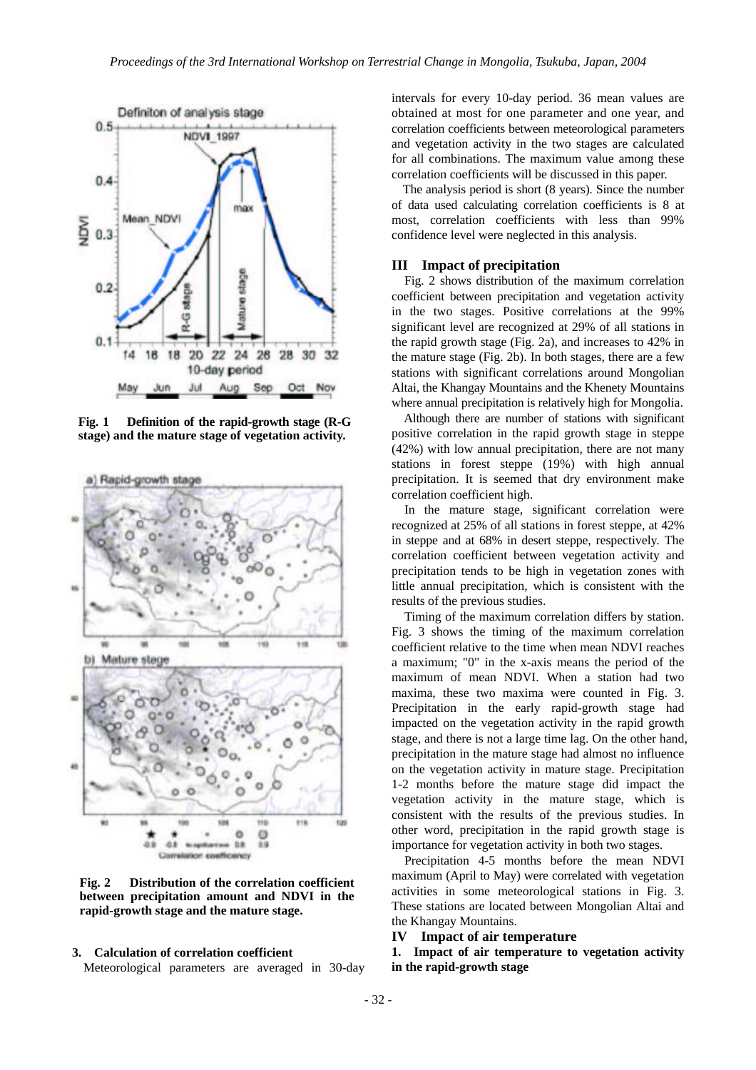

**Fig. 1 Definition of the rapid-growth stage (R-G stage) and the mature stage of vegetation activity.**



**Fig. 2 Distribution of the correlation coefficient between precipitation amount and NDVI in the rapid-growth stage and the mature stage.** 

#### **3. Calculation of correlation coefficient**

Meteorological parameters are averaged in 30-day

intervals for every 10-day period. 36 mean values are obtained at most for one parameter and one year, and correlation coefficients between meteorological parameters and vegetation activity in the two stages are calculated for all combinations. The maximum value among these correlation coefficients will be discussed in this paper.

The analysis period is short (8 years). Since the number of data used calculating correlation coefficients is 8 at most, correlation coefficients with less than 99% confidence level were neglected in this analysis.

#### **III Impact of precipitation**

 Fig. 2 shows distribution of the maximum correlation coefficient between precipitation and vegetation activity in the two stages. Positive correlations at the 99% significant level are recognized at 29% of all stations in the rapid growth stage (Fig. 2a), and increases to 42% in the mature stage (Fig. 2b). In both stages, there are a few stations with significant correlations around Mongolian Altai, the Khangay Mountains and the Khenety Mountains where annual precipitation is relatively high for Mongolia.

Although there are number of stations with significant positive correlation in the rapid growth stage in steppe (42%) with low annual precipitation, there are not many stations in forest steppe (19%) with high annual precipitation. It is seemed that dry environment make correlation coefficient high.

In the mature stage, significant correlation were recognized at 25% of all stations in forest steppe, at 42% in steppe and at 68% in desert steppe, respectively. The correlation coefficient between vegetation activity and precipitation tends to be high in vegetation zones with little annual precipitation, which is consistent with the results of the previous studies.

Timing of the maximum correlation differs by station. Fig. 3 shows the timing of the maximum correlation coefficient relative to the time when mean NDVI reaches a maximum; "0" in the x-axis means the period of the maximum of mean NDVI. When a station had two maxima, these two maxima were counted in Fig. 3. Precipitation in the early rapid-growth stage had impacted on the vegetation activity in the rapid growth stage, and there is not a large time lag. On the other hand, precipitation in the mature stage had almost no influence on the vegetation activity in mature stage. Precipitation 1-2 months before the mature stage did impact the vegetation activity in the mature stage, which is consistent with the results of the previous studies. In other word, precipitation in the rapid growth stage is importance for vegetation activity in both two stages.

 Precipitation 4-5 months before the mean NDVI maximum (April to May) were correlated with vegetation activities in some meteorological stations in Fig. 3. These stations are located between Mongolian Altai and the Khangay Mountains.

#### **IV Impact of air temperature**

**1. Impact of air temperature to vegetation activity in the rapid-growth stage**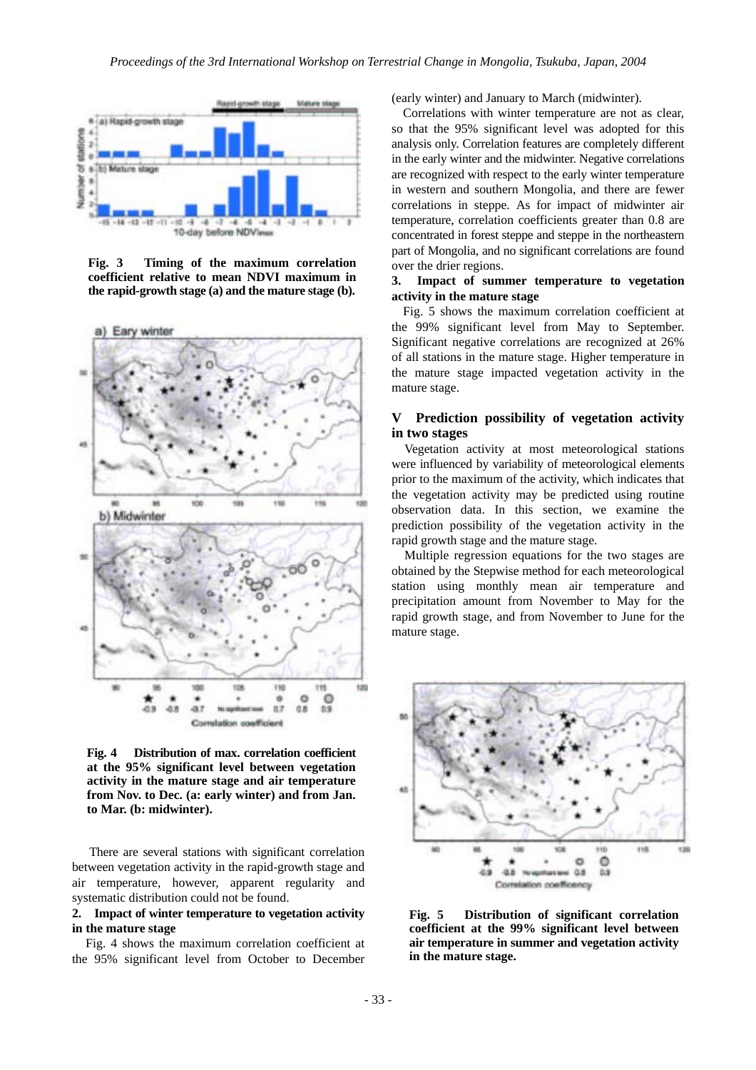

**Fig. 3 Timing of the maximum correlation coefficient relative to mean NDVI maximum in the rapid-growth stage (a) and the mature stage (b).**



**Fig. 4 Distribution of max. correlation coefficient at the 95% significant level between vegetation activity in the mature stage and air temperature from Nov. to Dec. (a: early winter) and from Jan. to Mar. (b: midwinter).** 

 There are several stations with significant correlation between vegetation activity in the rapid-growth stage and air temperature, however, apparent regularity and systematic distribution could not be found.

### **2. Impact of winter temperature to vegetation activity in the mature stage**

Fig. 4 shows the maximum correlation coefficient at the 95% significant level from October to December

(early winter) and January to March (midwinter).

Correlations with winter temperature are not as clear, so that the 95% significant level was adopted for this analysis only. Correlation features are completely different in the early winter and the midwinter. Negative correlations are recognized with respect to the early winter temperature in western and southern Mongolia, and there are fewer correlations in steppe. As for impact of midwinter air temperature, correlation coefficients greater than 0.8 are concentrated in forest steppe and steppe in the northeastern part of Mongolia, and no significant correlations are found over the drier regions.

#### **3. Impact of summer temperature to vegetation activity in the mature stage**

Fig. 5 shows the maximum correlation coefficient at the 99% significant level from May to September. Significant negative correlations are recognized at 26% of all stations in the mature stage. Higher temperature in the mature stage impacted vegetation activity in the mature stage.

## **V Prediction possibility of vegetation activity in two stages**

 Vegetation activity at most meteorological stations were influenced by variability of meteorological elements prior to the maximum of the activity, which indicates that the vegetation activity may be predicted using routine observation data. In this section, we examine the prediction possibility of the vegetation activity in the rapid growth stage and the mature stage.

Multiple regression equations for the two stages are obtained by the Stepwise method for each meteorological station using monthly mean air temperature and precipitation amount from November to May for the rapid growth stage, and from November to June for the mature stage.



**Fig. 5 Distribution of significant correlation coefficient at the 99% significant level between air temperature in summer and vegetation activity in the mature stage.**